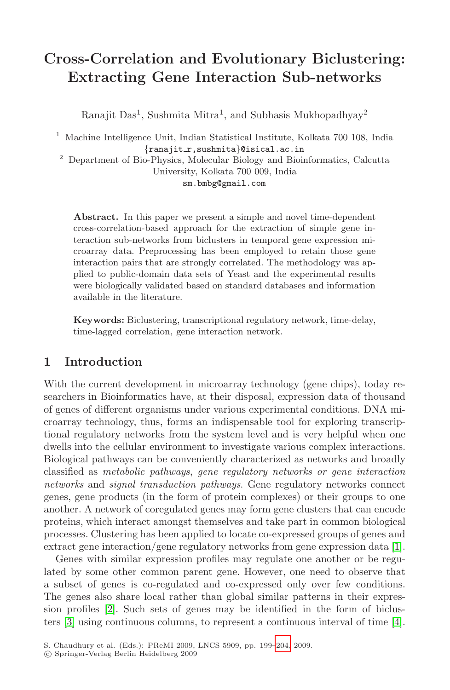# **Cross-Correlation and Evolutionary Biclustering: Extracting Gene Interaction Sub-networks**

Ranajit Das<sup>1</sup>, Sushmita Mitra<sup>1</sup>, and Subhasis Mukhopadhyay<sup>2</sup>

<sup>1</sup> Machine Intelligence Unit, Indian Statistical Institute, Kolkata 700 108, India *{*ranajit r,sushmita*}*@isical.ac.in <sup>2</sup> Department of Bio-Physics, Molecular Biology and Bioinformatics, Calcutta

University, Kolkata 700 009, India

sm.bmbg@gmail.com

**Abstract.** In this paper we present a simple and novel time-dependent cross-correlation-based approach for the extraction of simple gene interaction sub-networks from biclusters in temporal gene expression microarray data. Preprocessing has been employed to retain those gene interaction pairs that are strongly correlated. The methodology was applied to public-domain data sets of Yeast and the experimental results were biologically validated based on standard databases and information available in the literature.

**Keywords:** Biclustering, transcriptional regulatory network, time-delay, time-lagged correlation, gene interaction network.

# **1 Introduction**

With the current development in microarray technology (gene chips), today researchers in Bioinformatics have, at their disposal, expression data of thousand of genes of different organisms under various experimental conditions. DNA microarray technology, thus, forms an indispensable tool for exploring transcriptional regulatory networks from the system level and is very helpful when one dwells into the cellular environment to investigate various [co](#page-5-0)mplex interactions. Biological pathways can be conveniently characterized as networks and broadly classified as *metabolic pathways*, *gene regulatory networks or gene interaction networks* and *signal transduction pathways*. Gene regulatory networks connect genes, gene products (in the form of protein complexes) or their groups to one another. A network of coregulated genes may form gene clusters that can encode proteins, which interact amongst themselves and take par[t in](#page-5-1) common biological processes. Clustering has been applied to locate co-expressed groups of genes and extract gene interaction/gene re[gula](#page-5-2)tory networks from gene expression data [1].

Genes with similar expression profiles may regulate one another or be regulated by some other common parent gene. However, one need to observe that a subset of genes is co-regulated and co-expressed only over few conditions. The genes also share local rather than global similar patterns in their expression profiles [2]. Such sets of genes may be identified in the form of biclusters [3] using continuous columns, to represent a continuous interval of time [4].

S. Chaudhury et al. (Eds.): PReMI 2009, LNCS 5909, pp. 199–204, 2009.

<sup>-</sup>c Springer-Verlag Berlin Heidelberg 2009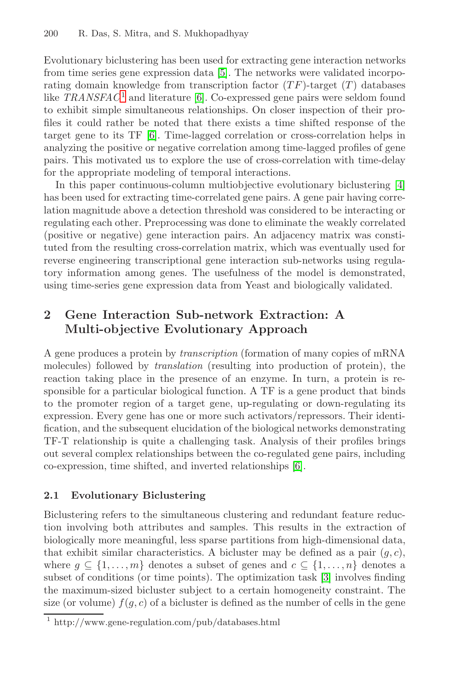#### 200 R. Das, S. Mitra, and S. Mukhopadhyay

Evolutionary biclustering has been used for extracting gene interaction networks from time series gene expression data [5]. The networks were validated incorporating domain knowledge from transcription factor  $(TF)$ -[ta](#page-5-1)rget  $(T)$  databases like *TRANSFAC*<sup>1</sup> and literature [6]. Co-expressed gene pairs were seldom found to exhibit simple simultaneous relationships. On closer inspection of their profiles it could rather be noted that there exists a time shifted response of the target gene to its TF [6]. Time-lagged correlation or cross-correlation helps in analyzing the positive or negative correlation among time-lagged profiles of gene pairs. This motivated us to explore the use of cross-correlation with time-delay for the appropriate modeling of temporal interactions.

In this paper continuous-column multiobjective evolutionary biclustering [4] has been used for extracting time-correlated gene pairs. A gene pair having correlation magnitude above a detection threshold was considered to be interacting or regulating each other. Preprocessing was done to eliminate the weakly correlated (positive or negative) gene interaction pairs. An adjacency matrix was constituted from the resulting cross-correlation matrix, which was eventually used for reverse engineering transcriptional gene interaction sub-networks using regulatory information among genes. The usefulness of the model is demonstrated, using time-series gene expression data from Yeast and biologically validated.

# **2 Gene Interaction Sub-network Extraction: A Multi-objective Evolutionary Approach**

A gene produces a protein by *transcription* (formation of many copies of mRNA molecules) followed by *translation* [\(r](#page-5-3)esulting into production of protein), the reaction taking place in the presence of an enzyme. In turn, a protein is responsible for a particular biological function. A TF is a gene product that binds to the promoter region of a target gene, up-regulating or down-regulating its expression. Every gene has one or more such activators/repressors. Their identification, and the subsequent elucidation of the biological networks demonstrating TF-T relationship is quite a challenging task. Analysis of their profiles brings out several complex relationships between the co-regulated gene pairs, including co-expression, time shifted, and inverted relationships [6].

#### **2.1 Evolutionary Biclustering**

Biclustering refers to the simultaneous clustering and redundant feature reduction involving both attributes and samples. This results in the extraction of biologically more meaningful, less sparse partitions from high-dimensional data, that exhibit similar characteristics. A bicluster may be defined as a pair  $(q, c)$ , where  $g \subseteq \{1, \ldots, m\}$  denotes a subset of genes and  $c \subseteq \{1, \ldots, n\}$  denotes a subset of conditions (or time points). The optimization task [3] involves finding the maximum-sized bicluster subject to a certain homogeneity constraint. The size (or volume)  $f(g, c)$  of a bicluster is defined as the number of cells in the gene

 $1 \text{ http://www.gene-regulation.com/public/databases.html}$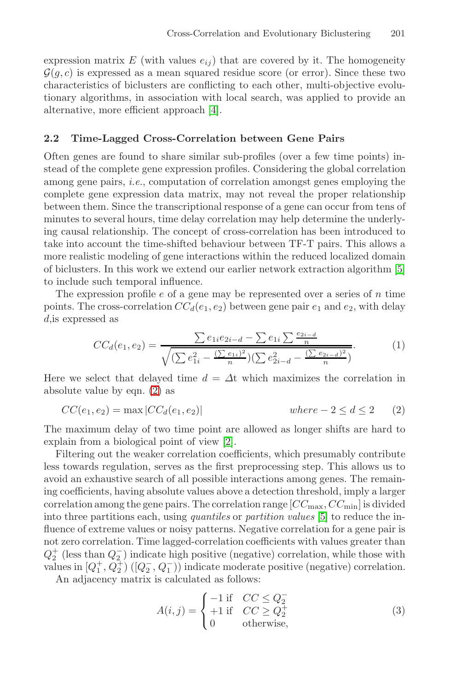expression matrix  $E$  (with values  $e_{ij}$ ) that are covered by it. The homogeneity  $\mathcal{G}(g,c)$  is expressed as a mean squared residue score (or error). Since these two characteristics of biclusters are conflicting to each other, multi-objective evolutionary algorithms, in association with local search, was applied to provide an alternative, more efficient approach [4].

#### **2.2 Time-Lagged Cross-Correlation between Gene Pairs**

Often genes are found to share similar sub-profiles (over a few time points) instead of the complete gene expression profiles. Considering [th](#page-5-4)e global correlation among gene pairs, *i.e.*, computation of correlation amongst genes employing the complete gene expression data matrix, may not reveal the proper relationship between them. Since the transcriptional response of a gene can occur from tens of minutes to several hours, time delay correlation may help determine the underlying causal relationship. The concept of cross-correlation has been introduced to take into account the time-shifted behaviour between TF-T pairs. This allows a more realistic modeling of gene interactions within the reduced localized domain of biclusters. In this work we extend our earlier network extraction algorithm [5] to include such temporal influence.

<span id="page-2-1"></span><span id="page-2-0"></span>T[he](#page-2-0) expression profile  $e$  of a gene may be represented over a series of  $n$  time points. The cross-correlation  $CC<sub>d</sub>(e<sub>1</sub>, e<sub>2</sub>)$  between gene pair  $e<sub>1</sub>$  and  $e<sub>2</sub>$ , with delay d,is expressed as

$$
CC_d(e_1, e_2) = \frac{\sum e_{1i}e_{2i-d} - \sum e_{1i}\sum \frac{e_{2i-d}}{n}}{\sqrt{(\sum e_{1i}^2 - \frac{(\sum e_{1i})^2}{n})(\sum e_{2i-d}^2 - \frac{(\sum e_{2i-d})^2}{n})}}.
$$
(1)

Here we select that delayed time  $d = \Delta t$  which maximizes the correlation in absolute value by eqn. (2) as

$$
CC(e_1, e_2) = \max |CC_d(e_1, e_2)| \qquad \qquad where -2 \le d \le 2 \qquad (2)
$$

The maximum delay of two time point a[re](#page-5-4) allowed as longer shifts are hard to explain from a biological point of view [2].

Filtering out the weaker correlation coefficients, which presumably contribute less towards regulation, serves as the first preprocessing step. This allows us to avoid an exhaustive search of all possible interactions among genes. The remaining coefficients, having absolute values above a detection threshold, imply a larger correlation among the gene pairs. The correlation range  $[CC_{\text{max}}, CC_{\text{min}}]$  is divided into three partitions each, using *quantiles* or *partition values* [5] to reduce the influence of extreme values or noisy patterns. Negative correlation for a gene pair is not zero correlation. Time lagged-correlation coefficients with values greater than  $Q_2^+$  (less than  $Q_2^-$ ) indicate high positive (negative) correlation, while those with values in  $[Q_1^+, Q_2^+]$  ( $[Q_2^-, Q_1^-)$ ) indicate moderate positive (negative) correlation. An adjacency matrix is calculated as follows:

> $A(i, j) =$  $\sqrt{ }$  $\overline{J}$  $\sqrt{2}$  $-1$  if  $CC \leq Q_2^-$ <br>+1 if  $CC \geq Q_2^+$ <br>0 otherwise,

(3)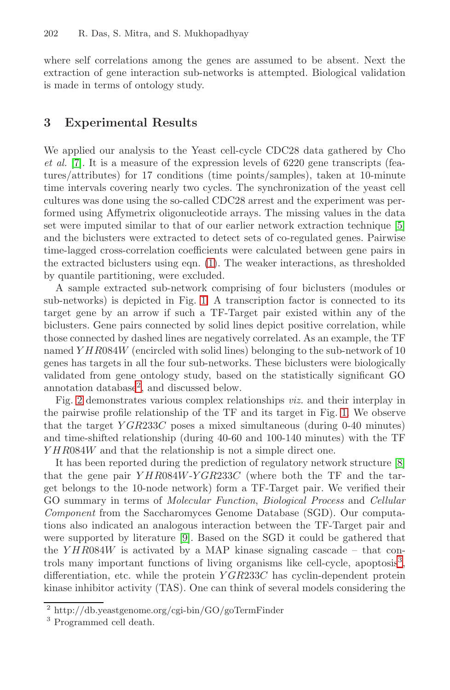where self correlations among the genes are assumed to be absent. Next the extraction of gene interaction sub-networks is attempted. Biological validation is made in terms of ontology study.

# **3 Experimental Results**

We applied our analysis to the Yeast cell-cycle CDC28 data gathered by Cho *et al.* [7]. It is a [m](#page-2-1)easure of the expression levels of 6220 gene transcripts (features/attributes) for 17 conditions (time points/samples), taken at 10-minute time intervals covering nearly two cycles. The synchronization of the yeast cell cultures was do[ne](#page-4-0) using the so-called CDC28 arrest and the experiment was performed using Affymetrix oligonucleotide arrays. The missing values in the data set were imputed similar to that of our earlier network extraction technique [5] and the biclusters were extracted to detect sets of co-regulated genes. Pairwise time-lagged cross-correlation coefficients were calculated between gene pairs in the extracted biclusters using eqn. (1). The weaker interactions, as thresholded by quantile partitioning, were excluded.

A sample extracted sub-network comprising of four biclusters (modules or s[ub](#page-3-0)-networks) is depicted in Fig. 1. A transcription factor is connected to its target gene by an arrow if such a TF-Targe[t](#page-4-0) pair existed within any of the biclusters. Gene pairs connected by solid lines depict positive correlation, while those connected by dashed lines are negatively correlated. As an example, the TF named YHR084W (encircled with solid lines) belonging to the sub-network of 10 genes has targets in all the four sub-networks. These biclu[ste](#page-5-6)rs were biologically validated from gene ontology study, based on the statistically significant GO annotation database<sup>2</sup>, and discussed below.

Fig. 2 demonstrates various complex relationships *viz.* and their interplay in the pairwise profile relationship of the TF and its target in Fig. 1. We observe that the target  $YGR233C$  poses a mixed simultaneous (during 0-40 minutes) and time-s[hif](#page-5-7)ted relationship (during 40-60 and 100-140 minutes) with the TF YHR084W and that the relationship is not a simple direct one.

<span id="page-3-1"></span><span id="page-3-0"></span>It has been reported during the prediction of regulatory [n](#page-3-1)etwork structure [8] that the gene pair  $YHR084W-YGR233C$  (where both the TF and the target belongs to the 10-node network) form a TF-Target pair. We verified their GO summary in terms of *Molecular Function*, *Biological Process* and *Cellular Component* from the Saccharomyces Genome Database (SGD). Our computations also indicated an analogous interaction between the TF-Target pair and were supported by literature [9]. Based on the SGD it could be gathered that the  $YHR084W$  is activated by a MAP kinase signaling cascade – that controls many important functions of living organisms like cell-cycle, apoptosis<sup>3</sup>, differentiation, etc. while the protein  $YGR233C$  has cyclin-dependent protein kinase inhibitor activity (TAS). One can think of several models considering the

<sup>2</sup> http://db.yeastgenome.org/cgi-bin/GO/goTermFinder

<sup>3</sup> Programmed cell death.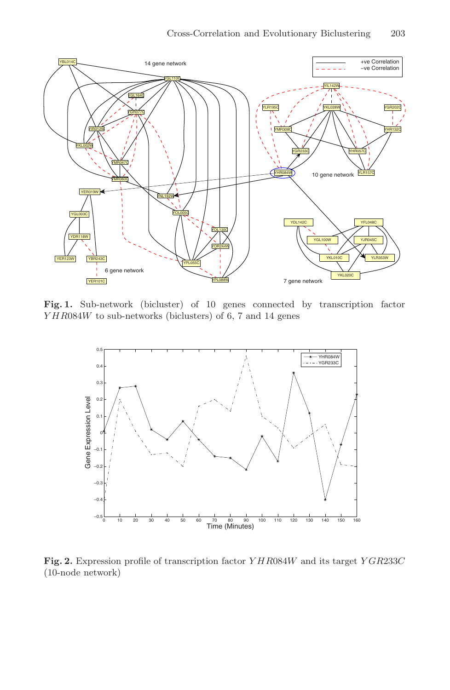

**Fig. 1.** Sub-network (bicluster) of 10 genes connected by transcription factor *Y HR*084*W* to sub-networks (biclusters) of 6, 7 and 14 genes

<span id="page-4-0"></span>

**Fig. 2.** Expression profile of transcription factor *Y HR*084*W* and its target *Y GR*233*C* (10-node network)